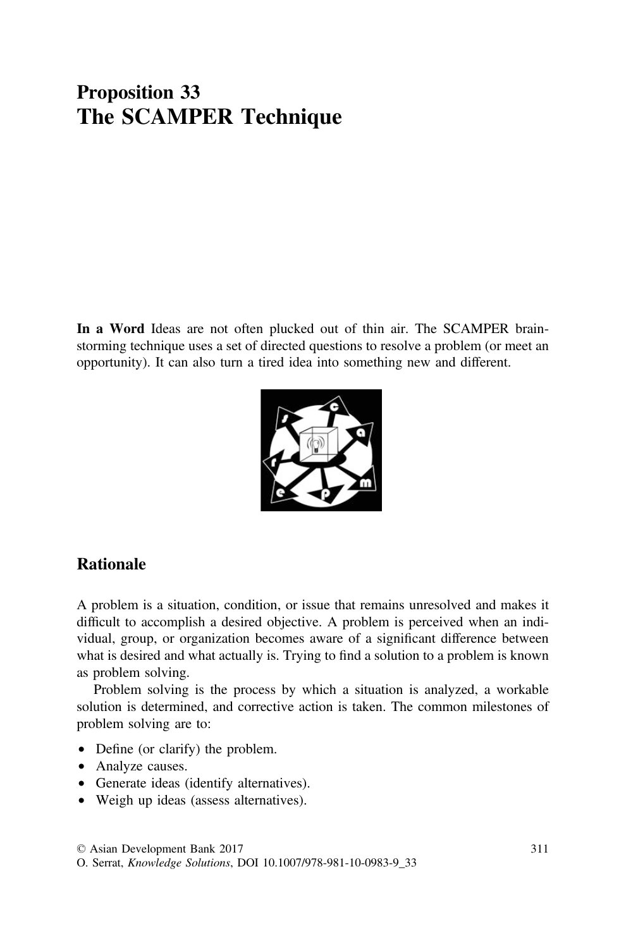# Proposition 33 The SCAMPER Technique

In a Word Ideas are not often plucked out of thin air. The SCAMPER brainstorming technique uses a set of directed questions to resolve a problem (or meet an opportunity). It can also turn a tired idea into something new and different.



### Rationale

A problem is a situation, condition, or issue that remains unresolved and makes it difficult to accomplish a desired objective. A problem is perceived when an individual, group, or organization becomes aware of a significant difference between what is desired and what actually is. Trying to find a solution to a problem is known as problem solving.

Problem solving is the process by which a situation is analyzed, a workable solution is determined, and corrective action is taken. The common milestones of problem solving are to:

- Define (or clarify) the problem.
- Analyze causes.
- Generate ideas (identify alternatives).
- Weigh up ideas (assess alternatives).

© Asian Development Bank 2017

O. Serrat, Knowledge Solutions, DOI 10.1007/978-981-10-0983-9\_33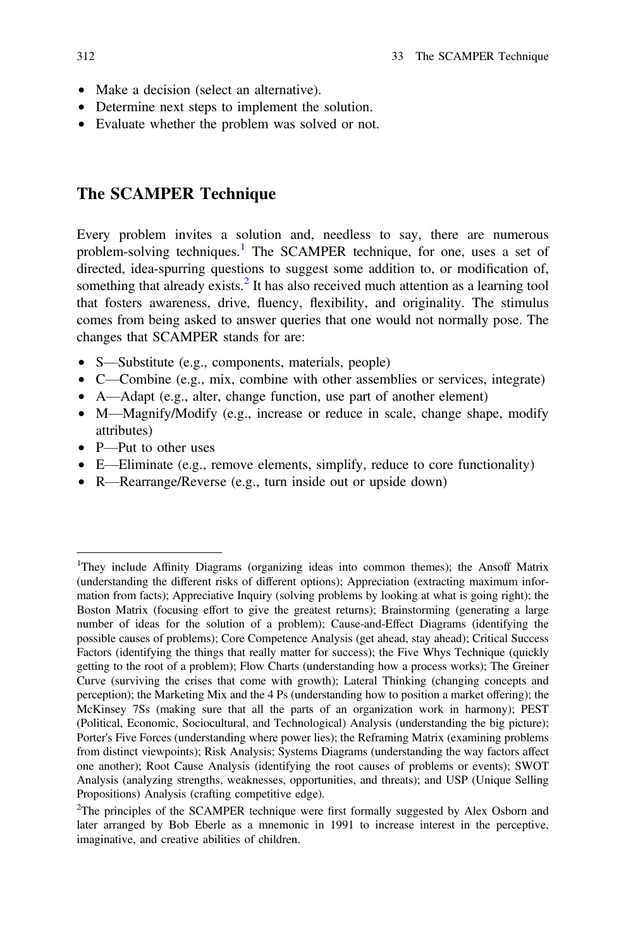- Make a decision (select an alternative).
- Determine next steps to implement the solution.
- Evaluate whether the problem was solved or not.

#### The SCAMPER Technique

Every problem invites a solution and, needless to say, there are numerous problem-solving techniques.<sup>1</sup> The SCAMPER technique, for one, uses a set of directed, idea-spurring questions to suggest some addition to, or modification of, something that already exists.<sup>2</sup> It has also received much attention as a learning tool that fosters awareness, drive, fluency, flexibility, and originality. The stimulus comes from being asked to answer queries that one would not normally pose. The changes that SCAMPER stands for are:

- S—Substitute (e.g., components, materials, people)
- C—Combine (e.g., mix, combine with other assemblies or services, integrate)
- A—Adapt (e.g., alter, change function, use part of another element)
- M—Magnify/Modify (e.g., increase or reduce in scale, change shape, modify attributes)
- P—Put to other uses
- E—Eliminate (e.g., remove elements, simplify, reduce to core functionality)
- R—Rearrange/Reverse (e.g., turn inside out or upside down)

<sup>&</sup>lt;sup>1</sup>They include Affinity Diagrams (organizing ideas into common themes); the Ansoff Matrix (understanding the different risks of different options); Appreciation (extracting maximum information from facts); Appreciative Inquiry (solving problems by looking at what is going right); the Boston Matrix (focusing effort to give the greatest returns); Brainstorming (generating a large number of ideas for the solution of a problem); Cause-and-Effect Diagrams (identifying the possible causes of problems); Core Competence Analysis (get ahead, stay ahead); Critical Success Factors (identifying the things that really matter for success); the Five Whys Technique (quickly getting to the root of a problem); Flow Charts (understanding how a process works); The Greiner Curve (surviving the crises that come with growth); Lateral Thinking (changing concepts and perception); the Marketing Mix and the 4 Ps (understanding how to position a market offering); the McKinsey 7Ss (making sure that all the parts of an organization work in harmony); PEST (Political, Economic, Sociocultural, and Technological) Analysis (understanding the big picture); Porter's Five Forces (understanding where power lies); the Reframing Matrix (examining problems from distinct viewpoints); Risk Analysis; Systems Diagrams (understanding the way factors affect one another); Root Cause Analysis (identifying the root causes of problems or events); SWOT Analysis (analyzing strengths, weaknesses, opportunities, and threats); and USP (Unique Selling Propositions) Analysis (crafting competitive edge).

<sup>&</sup>lt;sup>2</sup>The principles of the SCAMPER technique were first formally suggested by Alex Osborn and later arranged by Bob Eberle as a mnemonic in 1991 to increase interest in the perceptive, imaginative, and creative abilities of children.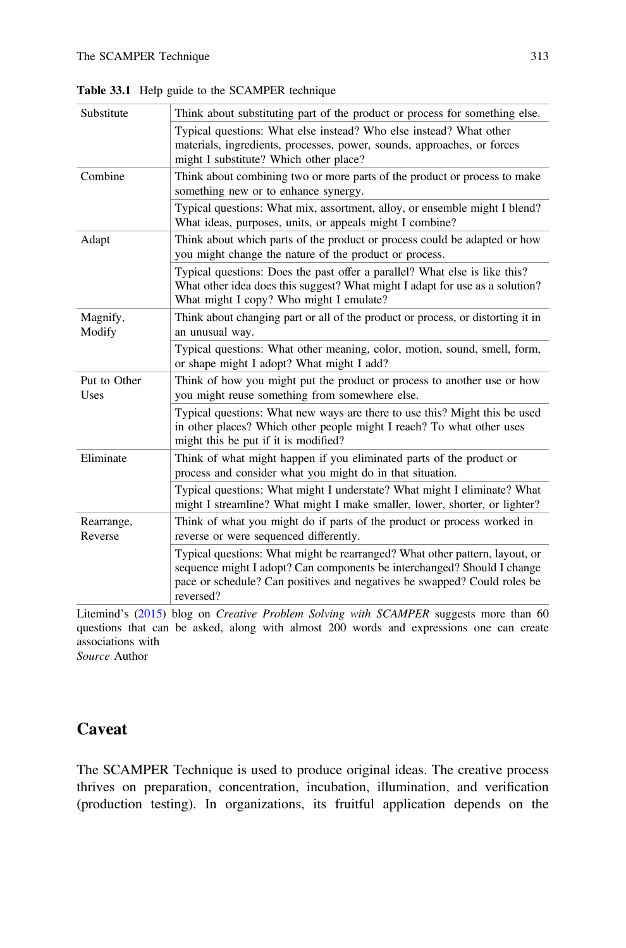| Substitute                                                                                                                | Think about substituting part of the product or process for something else.                                                                                                                                                                     |
|---------------------------------------------------------------------------------------------------------------------------|-------------------------------------------------------------------------------------------------------------------------------------------------------------------------------------------------------------------------------------------------|
|                                                                                                                           | Typical questions: What else instead? Who else instead? What other<br>materials, ingredients, processes, power, sounds, approaches, or forces<br>might I substitute? Which other place?                                                         |
| Combine                                                                                                                   | Think about combining two or more parts of the product or process to make<br>something new or to enhance synergy.                                                                                                                               |
|                                                                                                                           | Typical questions: What mix, assortment, alloy, or ensemble might I blend?<br>What ideas, purposes, units, or appeals might I combine?                                                                                                          |
| Adapt                                                                                                                     | Think about which parts of the product or process could be adapted or how<br>you might change the nature of the product or process.                                                                                                             |
|                                                                                                                           | Typical questions: Does the past offer a parallel? What else is like this?<br>What other idea does this suggest? What might I adapt for use as a solution?<br>What might I copy? Who might I emulate?                                           |
| Magnify,<br>Modify                                                                                                        | Think about changing part or all of the product or process, or distorting it in<br>an unusual way.                                                                                                                                              |
|                                                                                                                           | Typical questions: What other meaning, color, motion, sound, smell, form,<br>or shape might I adopt? What might I add?                                                                                                                          |
| Put to Other<br>Uses                                                                                                      | Think of how you might put the product or process to another use or how<br>you might reuse something from somewhere else.                                                                                                                       |
|                                                                                                                           | Typical questions: What new ways are there to use this? Might this be used<br>in other places? Which other people might I reach? To what other uses<br>might this be put if it is modified?                                                     |
| Eliminate                                                                                                                 | Think of what might happen if you eliminated parts of the product or<br>process and consider what you might do in that situation.                                                                                                               |
|                                                                                                                           | Typical questions: What might I understate? What might I eliminate? What<br>might I streamline? What might I make smaller, lower, shorter, or lighter?                                                                                          |
| Rearrange,<br>Reverse                                                                                                     | Think of what you might do if parts of the product or process worked in<br>reverse or were sequenced differently.                                                                                                                               |
|                                                                                                                           | Typical questions: What might be rearranged? What other pattern, layout, or<br>sequence might I adopt? Can components be interchanged? Should I change<br>pace or schedule? Can positives and negatives be swapped? Could roles be<br>reversed? |
| $\ddot{ }$ 11 $(0.017)$<br>$\mathbf{r}$ $\mathbf{r}$ $\mathbf{r}$<br>$\alpha$ $\alpha$ $\beta$<br>$\mathcal{L}$ counterpo |                                                                                                                                                                                                                                                 |

Table 33.1 Help guide to the SCAMPER technique

Litemind's [\(2015](#page-3-0)) blog on Creative Problem Solving with SCAMPER suggests more than 60 questions that can be asked, along with almost 200 words and expressions one can create associations with

Source Author

## Caveat

The SCAMPER Technique is used to produce original ideas. The creative process thrives on preparation, concentration, incubation, illumination, and verification (production testing). In organizations, its fruitful application depends on the